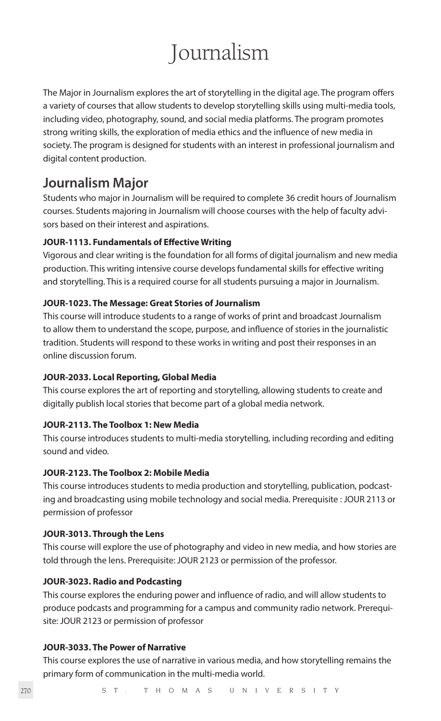# Journalism

The Major in Journalism explores the art of storytelling in the digital age. The program offers a variety of courses that allow students to develop storytelling skills using multi-media tools, including video, photography, sound, and social media platforms. The program promotes strong writing skills, the exploration of media ethics and the influence of new media in society. The program is designed for students with an interest in professional journalism and digital content production.

# **Journalism Major**

Students who major in Journalism will be required to complete 36 credit hours of Journalism courses. Students majoring in Journalism will choose courses with the help of faculty advisors based on their interest and aspirations.

# **JOUR-1113. Fundamentals of Effective Writing**

Vigorous and clear writing is the foundation for all forms of digital journalism and new media production. This writing intensive course develops fundamental skills for effective writing and storytelling. This is a required course for all students pursuing a major in Journalism.

# **JOUR-1023. The Message: Great Stories of Journalism**

This course will introduce students to a range of works of print and broadcast Journalism to allow them to understand the scope, purpose, and influence of stories in the journalistic tradition. Students will respond to these works in writing and post their responses in an online discussion forum.

# **JOUR-2033. Local Reporting, Global Media**

This course explores the art of reporting and storytelling, allowing students to create and digitally publish local stories that become part of a global media network.

# **JOUR-2113. The Toolbox 1: New Media**

This course introduces students to multi-media storytelling, including recording and editing sound and video.

# **JOUR-2123. The Toolbox 2: Mobile Media**

This course introduces students to media production and storytelling, publication, podcasting and broadcasting using mobile technology and social media. Prerequisite : JOUR 2113 or permission of professor

# **JOUR-3013. Through the Lens**

This course will explore the use of photography and video in new media, and how stories are told through the lens. Prerequisite: JOUR 2123 or permission of the professor.

# **JOUR-3023. Radio and Podcasting**

This course explores the enduring power and influence of radio, and will allow students to produce podcasts and programming for a campus and community radio network. Prerequisite: JOUR 2123 or permission of professor

# **JOUR-3033. The Power of Narrative**

This course explores the use of narrative in various media, and how storytelling remains the primary form of communication in the multi-media world.